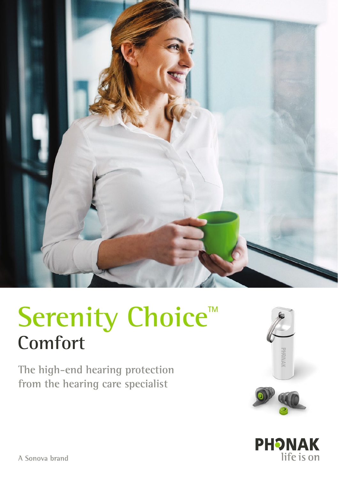

## Serenity Choice<sup>™</sup> **Comfort**

**The high-end hearing protection from the hearing care specialist**